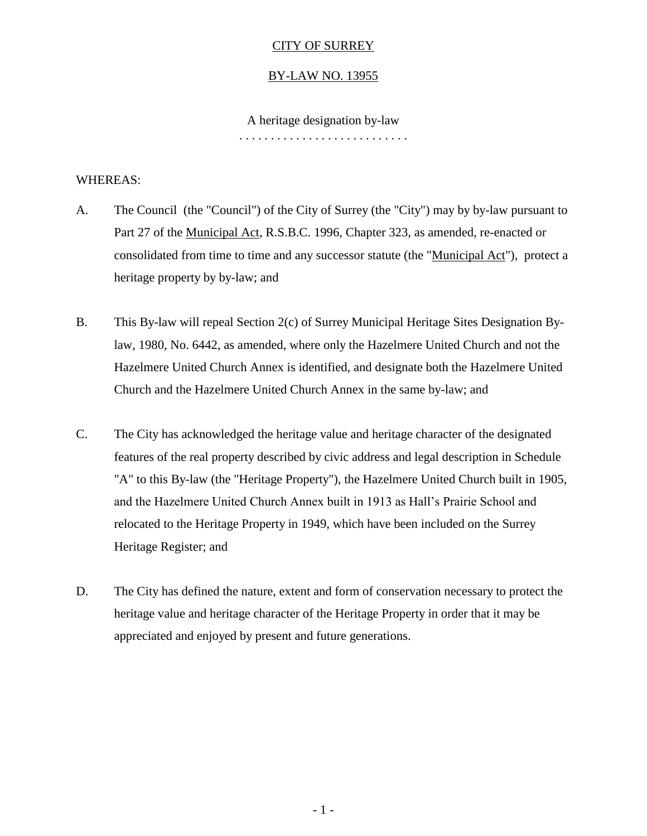#### CITY OF SURREY

#### BY-LAW NO. 13955

#### A heritage designation by-law

. . . . . . . . . . . . . . . . . . . . . . . . . . .

#### WHEREAS:

- A. The Council (the "Council") of the City of Surrey (the "City") may by by-law pursuant to Part 27 of the Municipal Act, R.S.B.C. 1996, Chapter 323, as amended, re-enacted or consolidated from time to time and any successor statute (the "Municipal Act"), protect a heritage property by by-law; and
- B. This By-law will repeal Section 2(c) of Surrey Municipal Heritage Sites Designation Bylaw, 1980, No. 6442, as amended, where only the Hazelmere United Church and not the Hazelmere United Church Annex is identified, and designate both the Hazelmere United Church and the Hazelmere United Church Annex in the same by-law; and
- C. The City has acknowledged the heritage value and heritage character of the designated features of the real property described by civic address and legal description in Schedule "A" to this By-law (the "Heritage Property"), the Hazelmere United Church built in 1905, and the Hazelmere United Church Annex built in 1913 as Hall's Prairie School and relocated to the Heritage Property in 1949, which have been included on the Surrey Heritage Register; and
- D. The City has defined the nature, extent and form of conservation necessary to protect the heritage value and heritage character of the Heritage Property in order that it may be appreciated and enjoyed by present and future generations.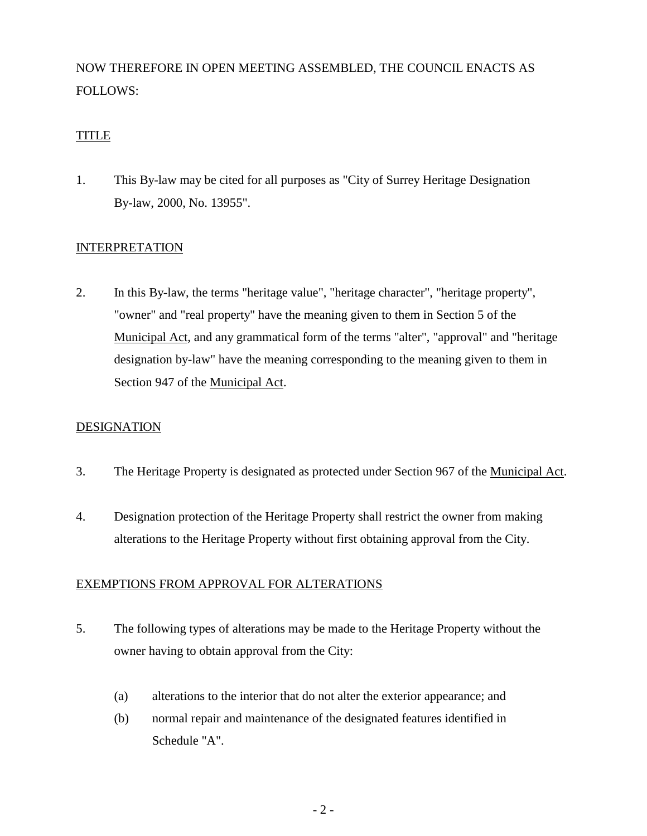# NOW THEREFORE IN OPEN MEETING ASSEMBLED, THE COUNCIL ENACTS AS FOLLOWS:

# TITLE

1. This By-law may be cited for all purposes as "City of Surrey Heritage Designation By-law, 2000, No. 13955".

### INTERPRETATION

2. In this By-law, the terms "heritage value", "heritage character", "heritage property", "owner" and "real property" have the meaning given to them in Section 5 of the Municipal Act, and any grammatical form of the terms "alter", "approval" and "heritage designation by-law" have the meaning corresponding to the meaning given to them in Section 947 of the Municipal Act.

### **DESIGNATION**

- 3. The Heritage Property is designated as protected under Section 967 of the Municipal Act.
- 4. Designation protection of the Heritage Property shall restrict the owner from making alterations to the Heritage Property without first obtaining approval from the City.

### EXEMPTIONS FROM APPROVAL FOR ALTERATIONS

- 5. The following types of alterations may be made to the Heritage Property without the owner having to obtain approval from the City:
	- (a) alterations to the interior that do not alter the exterior appearance; and
	- (b) normal repair and maintenance of the designated features identified in Schedule "A".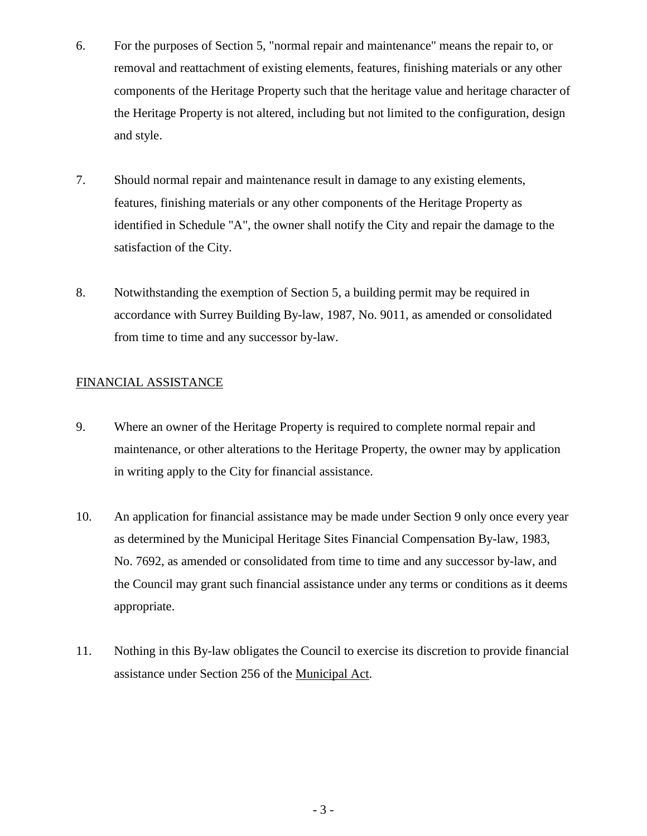- 6. For the purposes of Section 5, "normal repair and maintenance" means the repair to, or removal and reattachment of existing elements, features, finishing materials or any other components of the Heritage Property such that the heritage value and heritage character of the Heritage Property is not altered, including but not limited to the configuration, design and style.
- 7. Should normal repair and maintenance result in damage to any existing elements, features, finishing materials or any other components of the Heritage Property as identified in Schedule "A", the owner shall notify the City and repair the damage to the satisfaction of the City.
- 8. Notwithstanding the exemption of Section 5, a building permit may be required in accordance with Surrey Building By-law, 1987, No. 9011, as amended or consolidated from time to time and any successor by-law.

### FINANCIAL ASSISTANCE

- 9. Where an owner of the Heritage Property is required to complete normal repair and maintenance, or other alterations to the Heritage Property, the owner may by application in writing apply to the City for financial assistance.
- 10. An application for financial assistance may be made under Section 9 only once every year as determined by the Municipal Heritage Sites Financial Compensation By-law, 1983, No. 7692, as amended or consolidated from time to time and any successor by-law, and the Council may grant such financial assistance under any terms or conditions as it deems appropriate.
- 11. Nothing in this By-law obligates the Council to exercise its discretion to provide financial assistance under Section 256 of the Municipal Act.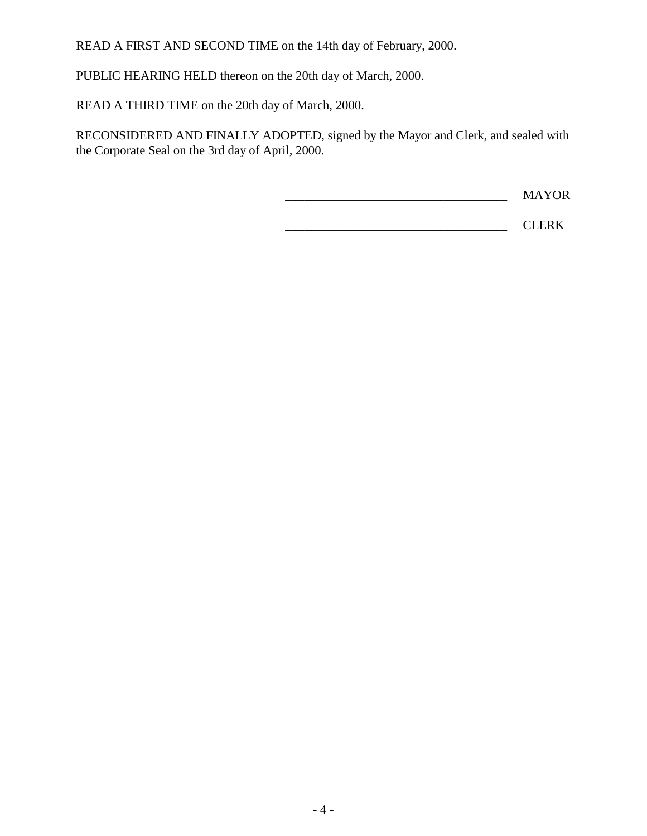READ A FIRST AND SECOND TIME on the 14th day of February, 2000.

PUBLIC HEARING HELD thereon on the 20th day of March, 2000.

READ A THIRD TIME on the 20th day of March, 2000.

RECONSIDERED AND FINALLY ADOPTED, signed by the Mayor and Clerk, and sealed with the Corporate Seal on the 3rd day of April, 2000.

\_\_\_\_\_\_\_\_\_\_\_\_\_\_\_\_\_\_\_\_\_\_\_\_\_\_\_\_\_\_\_\_\_\_\_ MAYOR

\_\_\_\_\_\_\_\_\_\_\_\_\_\_\_\_\_\_\_\_\_\_\_\_\_\_\_\_\_\_\_\_\_\_\_ CLERK